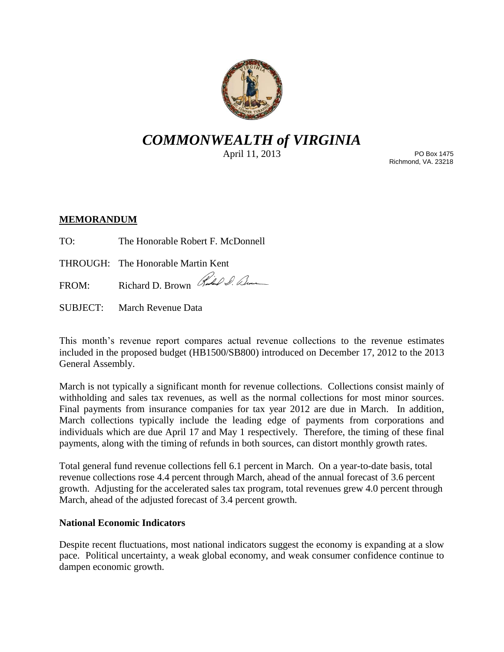

# *COMMONWEALTH of VIRGINIA*

April 11, 2013

PO Box 1475 Richmond, VA. 23218

## **MEMORANDUM**

TO: The Honorable Robert F. McDonnell

THROUGH: The Honorable Martin Kent

FROM: Richard D. Brown Richard D. Elm

SUBJECT: March Revenue Data

This month's revenue report compares actual revenue collections to the revenue estimates included in the proposed budget (HB1500/SB800) introduced on December 17, 2012 to the 2013 General Assembly.

March is not typically a significant month for revenue collections. Collections consist mainly of withholding and sales tax revenues, as well as the normal collections for most minor sources. Final payments from insurance companies for tax year 2012 are due in March. In addition, March collections typically include the leading edge of payments from corporations and individuals which are due April 17 and May 1 respectively. Therefore, the timing of these final payments, along with the timing of refunds in both sources, can distort monthly growth rates.

Total general fund revenue collections fell 6.1 percent in March. On a year-to-date basis, total revenue collections rose 4.4 percent through March, ahead of the annual forecast of 3.6 percent growth. Adjusting for the accelerated sales tax program, total revenues grew 4.0 percent through March, ahead of the adjusted forecast of 3.4 percent growth.

## **National Economic Indicators**

Despite recent fluctuations, most national indicators suggest the economy is expanding at a slow pace. Political uncertainty, a weak global economy, and weak consumer confidence continue to dampen economic growth.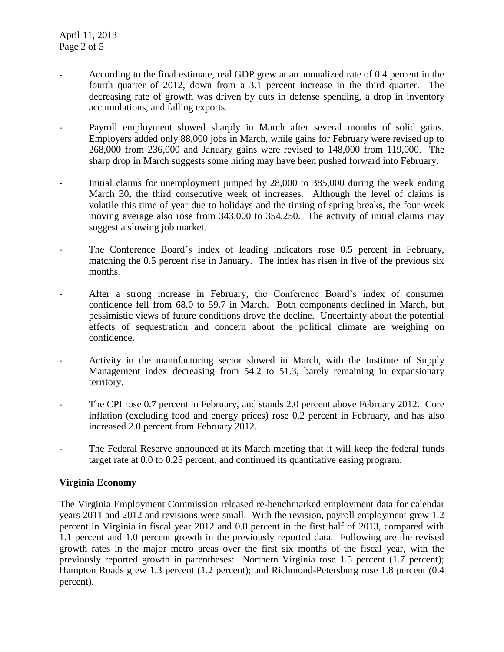- According to the final estimate, real GDP grew at an annualized rate of 0.4 percent in the fourth quarter of 2012, down from a 3.1 percent increase in the third quarter. The decreasing rate of growth was driven by cuts in defense spending, a drop in inventory accumulations, and falling exports.
- Payroll employment slowed sharply in March after several months of solid gains. Employers added only 88,000 jobs in March, while gains for February were revised up to 268,000 from 236,000 and January gains were revised to 148,000 from 119,000. The sharp drop in March suggests some hiring may have been pushed forward into February.
- Initial claims for unemployment jumped by 28,000 to 385,000 during the week ending March 30, the third consecutive week of increases. Although the level of claims is volatile this time of year due to holidays and the timing of spring breaks, the four-week moving average also rose from 343,000 to 354,250. The activity of initial claims may suggest a slowing job market.
- The Conference Board's index of leading indicators rose 0.5 percent in February, matching the 0.5 percent rise in January. The index has risen in five of the previous six months.
- After a strong increase in February, the Conference Board's index of consumer confidence fell from 68.0 to 59.7 in March. Both components declined in March, but pessimistic views of future conditions drove the decline. Uncertainty about the potential effects of sequestration and concern about the political climate are weighing on confidence.
- Activity in the manufacturing sector slowed in March, with the Institute of Supply Management index decreasing from 54.2 to 51.3, barely remaining in expansionary territory.
- The CPI rose 0.7 percent in February, and stands 2.0 percent above February 2012. Core inflation (excluding food and energy prices) rose 0.2 percent in February, and has also increased 2.0 percent from February 2012.
- The Federal Reserve announced at its March meeting that it will keep the federal funds target rate at 0.0 to 0.25 percent, and continued its quantitative easing program.

## **Virginia Economy**

The Virginia Employment Commission released re-benchmarked employment data for calendar years 2011 and 2012 and revisions were small. With the revision, payroll employment grew 1.2 percent in Virginia in fiscal year 2012 and 0.8 percent in the first half of 2013, compared with 1.1 percent and 1.0 percent growth in the previously reported data. Following are the revised growth rates in the major metro areas over the first six months of the fiscal year, with the previously reported growth in parentheses: Northern Virginia rose 1.5 percent (1.7 percent); Hampton Roads grew 1.3 percent (1.2 percent); and Richmond-Petersburg rose 1.8 percent (0.4 percent).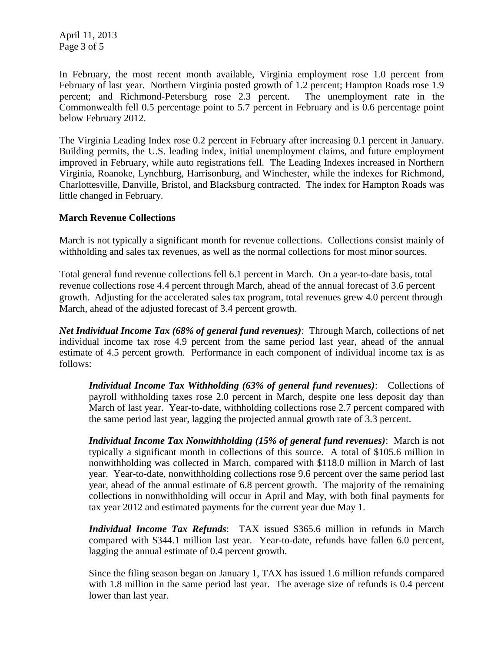April 11, 2013 Page 3 of 5

In February, the most recent month available, Virginia employment rose 1.0 percent from February of last year. Northern Virginia posted growth of 1.2 percent; Hampton Roads rose 1.9 percent; and Richmond-Petersburg rose 2.3 percent. The unemployment rate in the Commonwealth fell 0.5 percentage point to 5.7 percent in February and is 0.6 percentage point below February 2012.

The Virginia Leading Index rose 0.2 percent in February after increasing 0.1 percent in January. Building permits, the U.S. leading index, initial unemployment claims, and future employment improved in February, while auto registrations fell. The Leading Indexes increased in Northern Virginia, Roanoke, Lynchburg, Harrisonburg, and Winchester, while the indexes for Richmond, Charlottesville, Danville, Bristol, and Blacksburg contracted. The index for Hampton Roads was little changed in February.

### **March Revenue Collections**

March is not typically a significant month for revenue collections. Collections consist mainly of withholding and sales tax revenues, as well as the normal collections for most minor sources.

Total general fund revenue collections fell 6.1 percent in March. On a year-to-date basis, total revenue collections rose 4.4 percent through March, ahead of the annual forecast of 3.6 percent growth. Adjusting for the accelerated sales tax program, total revenues grew 4.0 percent through March, ahead of the adjusted forecast of 3.4 percent growth.

*Net Individual Income Tax (68% of general fund revenues)*: Through March, collections of net individual income tax rose 4.9 percent from the same period last year, ahead of the annual estimate of 4.5 percent growth. Performance in each component of individual income tax is as follows:

*Individual Income Tax Withholding (63% of general fund revenues)*: Collections of payroll withholding taxes rose 2.0 percent in March, despite one less deposit day than March of last year. Year-to-date, withholding collections rose 2.7 percent compared with the same period last year, lagging the projected annual growth rate of 3.3 percent.

*Individual Income Tax Nonwithholding (15% of general fund revenues)*: March is not typically a significant month in collections of this source. A total of \$105.6 million in nonwithholding was collected in March, compared with \$118.0 million in March of last year. Year-to-date, nonwithholding collections rose 9.6 percent over the same period last year, ahead of the annual estimate of 6.8 percent growth. The majority of the remaining collections in nonwithholding will occur in April and May, with both final payments for tax year 2012 and estimated payments for the current year due May 1.

*Individual Income Tax Refunds*: TAX issued \$365.6 million in refunds in March compared with \$344.1 million last year. Year-to-date, refunds have fallen 6.0 percent, lagging the annual estimate of 0.4 percent growth.

Since the filing season began on January 1, TAX has issued 1.6 million refunds compared with 1.8 million in the same period last year. The average size of refunds is 0.4 percent lower than last year.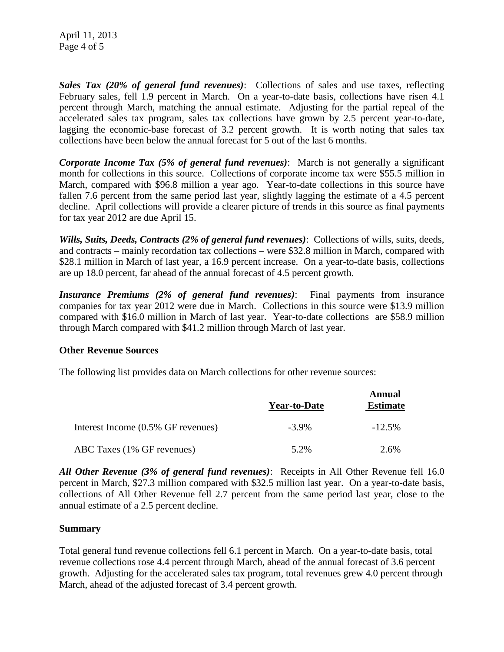April 11, 2013 Page 4 of 5

*Sales Tax (20% of general fund revenues)*: Collections of sales and use taxes, reflecting February sales, fell 1.9 percent in March. On a year-to-date basis, collections have risen 4.1 percent through March, matching the annual estimate. Adjusting for the partial repeal of the accelerated sales tax program, sales tax collections have grown by 2.5 percent year-to-date, lagging the economic-base forecast of 3.2 percent growth. It is worth noting that sales tax collections have been below the annual forecast for 5 out of the last 6 months.

*Corporate Income Tax (5% of general fund revenues)*: March is not generally a significant month for collections in this source. Collections of corporate income tax were \$55.5 million in March, compared with \$96.8 million a year ago. Year-to-date collections in this source have fallen 7.6 percent from the same period last year, slightly lagging the estimate of a 4.5 percent decline. April collections will provide a clearer picture of trends in this source as final payments for tax year 2012 are due April 15.

*Wills, Suits, Deeds, Contracts (2% of general fund revenues)*: Collections of wills, suits, deeds, and contracts – mainly recordation tax collections – were \$32.8 million in March, compared with \$28.1 million in March of last year, a 16.9 percent increase. On a year-to-date basis, collections are up 18.0 percent, far ahead of the annual forecast of 4.5 percent growth.

*Insurance Premiums (2% of general fund revenues)*: Final payments from insurance companies for tax year 2012 were due in March. Collections in this source were \$13.9 million compared with \$16.0 million in March of last year. Year-to-date collections are \$58.9 million through March compared with \$41.2 million through March of last year.

### **Other Revenue Sources**

The following list provides data on March collections for other revenue sources:

|                                    | <b>Year-to-Date</b> | Annual<br><b>Estimate</b> |
|------------------------------------|---------------------|---------------------------|
| Interest Income (0.5% GF revenues) | $-3.9\%$            | $-12.5%$                  |
| ABC Taxes (1% GF revenues)         | 5.2%                | 2.6%                      |

*All Other Revenue (3% of general fund revenues)*: Receipts in All Other Revenue fell 16.0 percent in March, \$27.3 million compared with \$32.5 million last year. On a year-to-date basis, collections of All Other Revenue fell 2.7 percent from the same period last year, close to the annual estimate of a 2.5 percent decline.

### **Summary**

Total general fund revenue collections fell 6.1 percent in March. On a year-to-date basis, total revenue collections rose 4.4 percent through March, ahead of the annual forecast of 3.6 percent growth. Adjusting for the accelerated sales tax program, total revenues grew 4.0 percent through March, ahead of the adjusted forecast of 3.4 percent growth.